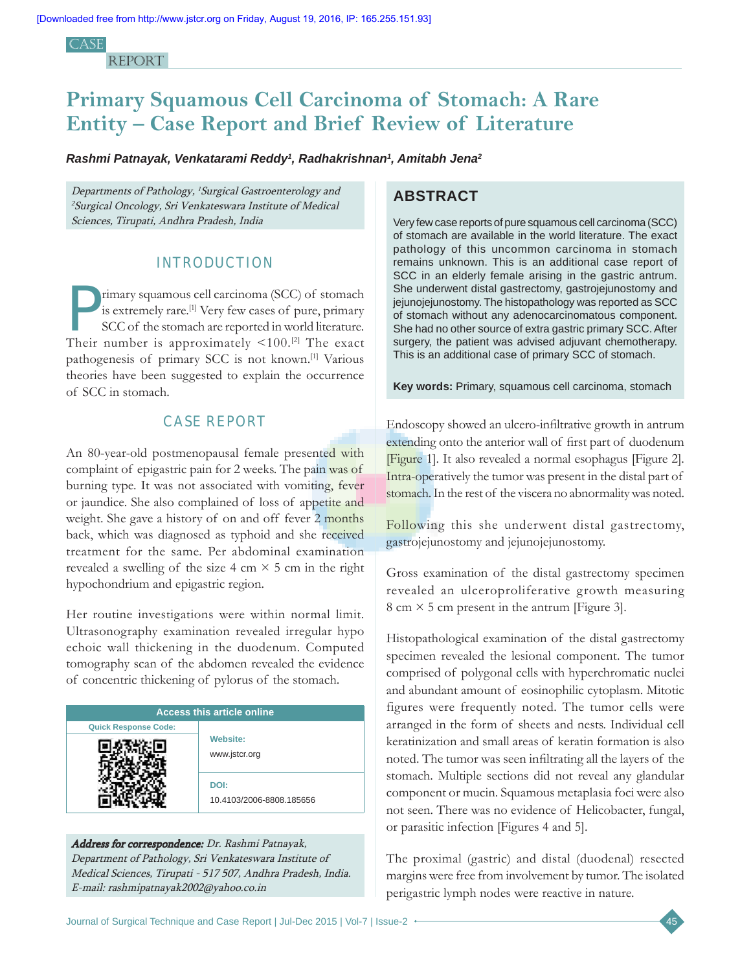CA<sub>SE</sub> **REPORT** 

# **Primary Squamous Cell Carcinoma of Stomach: A Rare Entity – Case Report and Brief Review of Literature**

*Rashmi Patnayak, Venkatarami Reddy1 , Radhakrishnan1 , Amitabh Jena2*

Departments of Pathology, <sup>1</sup> Surgical Gastroenterology and <sup>2</sup>Surgical Oncology, Sri Venkateswara Institute of Medical Sciences, Tirupati, Andhra Pradesh, India

## **INTRODUCTION**

Frimary squamous cell carcinoma (SCC) of stomach<br>is extremely rare.<sup>[1]</sup> Very few cases of pure, primary<br>SCC of the stomach are reported in world literature.<br>Their number is approximately  $\leq 100$  <sup>[2]</sup> The smath is extremely rare.<sup>[1]</sup> Very few cases of pure, primary SCC of the stomach are reported in world literature. Their number is approximately  $\leq 100$ .<sup>[2]</sup> The exact pathogenesis of primary SCC is not known.[1] Various theories have been suggested to explain the occurrence of SCC in stomach.

## **CASE REPORT**

An 80-year-old postmenopausal female presented with complaint of epigastric pain for 2 weeks. The pain was of burning type. It was not associated with vomiting, fever or jaundice. She also complained of loss of appetite and weight. She gave a history of on and off fever 2 months back, which was diagnosed as typhoid and she received treatment for the same. Per abdominal examination revealed a swelling of the size 4 cm  $\times$  5 cm in the right hypochondrium and epigastric region.

Her routine investigations were within normal limit. Ultrasonography examination revealed irregular hypo echoic wall thickening in the duodenum. Computed tomography scan of the abdomen revealed the evidence of concentric thickening of pylorus of the stomach.

| <b>Access this article online</b> |                                  |  |  |  |  |  |
|-----------------------------------|----------------------------------|--|--|--|--|--|
| <b>Quick Response Code:</b>       |                                  |  |  |  |  |  |
|                                   | <b>Website:</b><br>www.jstcr.org |  |  |  |  |  |
|                                   | DOI:<br>10.4103/2006-8808.185656 |  |  |  |  |  |

Address for correspondence: Dr. Rashmi Patnayak, Department of Pathology, Sri Venkateswara Institute of Medical Sciences, Tirupati ‑ 517 507, Andhra Pradesh, India. E‑mail: rashmipatnayak2002@yahoo.co.in

## **ABSTRACT**

Very few case reports of pure squamous cell carcinoma (SCC) of stomach are available in the world literature. The exact pathology of this uncommon carcinoma in stomach remains unknown. This is an additional case report of SCC in an elderly female arising in the gastric antrum. She underwent distal gastrectomy, gastrojejunostomy and jejunojejunostomy. The histopathology was reported as SCC of stomach without any adenocarcinomatous component. She had no other source of extra gastric primary SCC. After surgery, the patient was advised adjuvant chemotherapy. This is an additional case of primary SCC of stomach.

**Key words:** Primary, squamous cell carcinoma, stomach

Endoscopy showed an ulcero‑infiltrative growth in antrum extending onto the anterior wall of first part of duodenum [Figure 1]. It also revealed a normal esophagus [Figure 2]. Intra-operatively the tumor was present in the distal part of stomach. In the rest of the viscera no abnormality was noted.

Following this she underwent distal gastrectomy, gastrojejunostomy and jejunojejunostomy.

Gross examination of the distal gastrectomy specimen revealed an ulceroproliferative growth measuring  $8 \text{ cm} \times 5 \text{ cm}$  present in the antrum [Figure 3].

Histopathological examination of the distal gastrectomy specimen revealed the lesional component. The tumor comprised of polygonal cells with hyperchromatic nuclei and abundant amount of eosinophilic cytoplasm. Mitotic figures were frequently noted. The tumor cells were arranged in the form of sheets and nests. Individual cell keratinization and small areas of keratin formation is also noted. The tumor was seen infiltrating all the layers of the stomach. Multiple sections did not reveal any glandular component or mucin. Squamous metaplasia foci were also not seen. There was no evidence of Helicobacter, fungal, or parasitic infection [Figures 4 and 5].

The proximal (gastric) and distal (duodenal) resected margins were free from involvement by tumor. The isolated perigastric lymph nodes were reactive in nature.

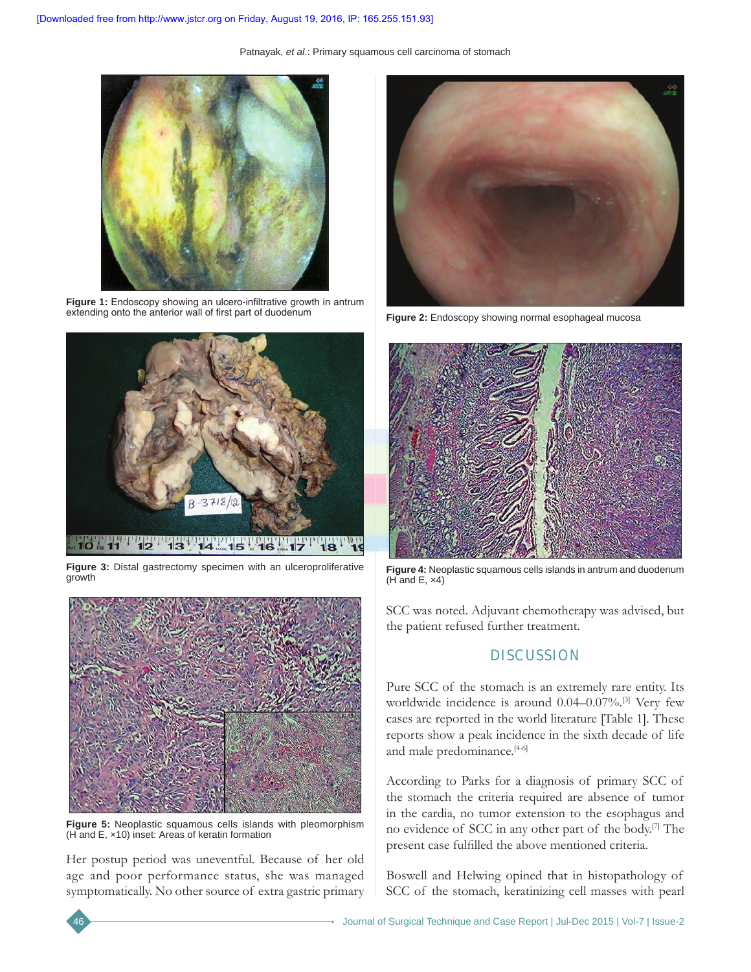Patnayak, *et al.*: Primary squamous cell carcinoma of stomach



Figure 1: Endoscopy showing an ulcero-infiltrative growth in antrum extending onto the anterior wall of first part of duodenum



**Figure 3:** Distal gastrectomy specimen with an ulceroproliferative growth



**Figure 5:** Neoplastic squamous cells islands with pleomorphism (H and E, ×10) inset: Areas of keratin formation

Her postup period was uneventful. Because of her old age and poor performance status, she was managed symptomatically. No other source of extra gastric primary



Figure 2: Endoscopy showing normal esophageal mucosa



**Figure 4:** Neoplastic squamous cells islands in antrum and duodenum  $(H$  and E,  $\times$ 4)

SCC was noted. Adjuvant chemotherapy was advised, but the patient refused further treatment.

## **DISCUSSION**

Pure SCC of the stomach is an extremely rare entity. Its worldwide incidence is around 0.04–0.07%.[3] Very few cases are reported in the world literature [Table 1]. These reports show a peak incidence in the sixth decade of life and male predominance.<sup>[4-6]</sup>

According to Parks for a diagnosis of primary SCC of the stomach the criteria required are absence of tumor in the cardia, no tumor extension to the esophagus and no evidence of SCC in any other part of the body.[7] The present case fulfilled the above mentioned criteria.

Boswell and Helwing opined that in histopathology of SCC of the stomach, keratinizing cell masses with pearl